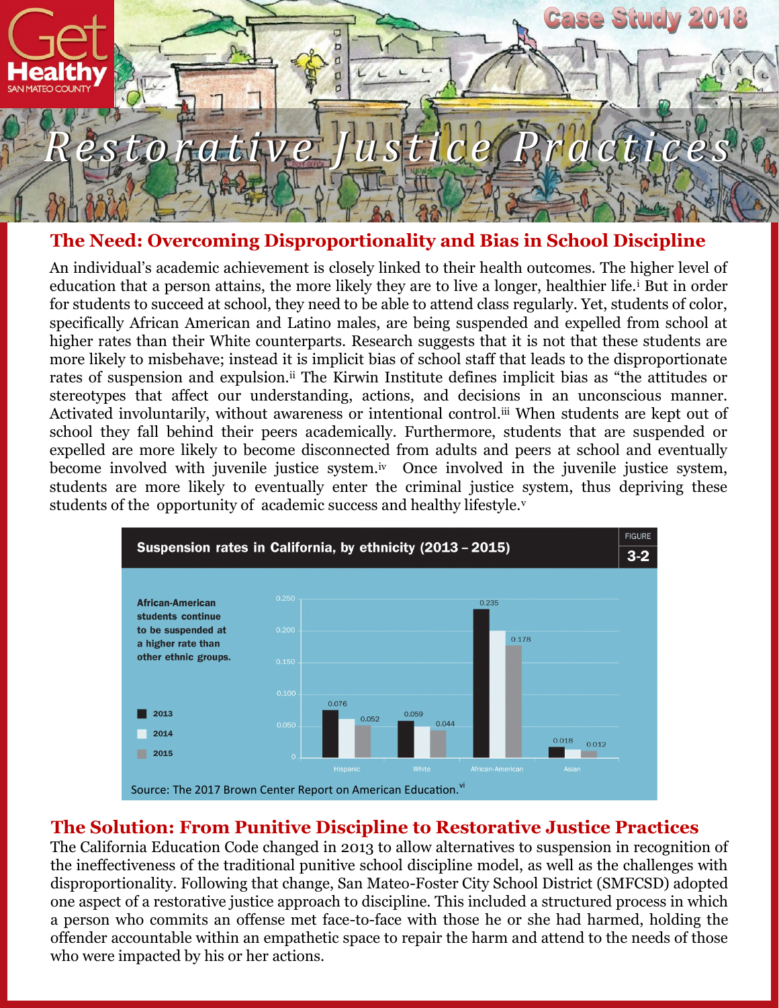

#### **The Need: Overcoming Disproportionality and Bias in School Discipline**

An individual's academic achievement is closely linked to their health outcomes. The higher level of education that a person attains, the more likely they are to live a longer, healthier life.<sup>i</sup> But in order for students to succeed at school, they need to be able to attend class regularly. Yet, students of color, specifically African American and Latino males, are being suspended and expelled from school at higher rates than their White counterparts. Research suggests that it is not that these students are more likely to misbehave; instead it is implicit bias of school staff that leads to the disproportionate rates of suspension and expulsion.<sup>ii</sup> The Kirwin Institute defines implicit bias as "the attitudes or stereotypes that affect our understanding, actions, and decisions in an unconscious manner. Activated involuntarily, without awareness or intentional control.<sup>iii</sup> When students are kept out of school they fall behind their peers academically. Furthermore, students that are suspended or expelled are more likely to become disconnected from adults and peers at school and eventually become involved with juvenile justice system.<sup>iv</sup> Once involved in the juvenile justice system, students are more likely to eventually enter the criminal justice system, thus depriving these students of the opportunity of academic success and healthy lifestyle.<sup>v</sup>



# **The Solution: From Punitive Discipline to Restorative Justice Practices**

The California Education Code changed in 2013 to allow alternatives to suspension in recognition of the ineffectiveness of the traditional punitive school discipline model, as well as the challenges with disproportionality. Following that change, San Mateo-Foster City School District (SMFCSD) adopted one aspect of a restorative justice approach to discipline. This included a structured process in which a person who commits an offense met face-to-face with those he or she had harmed, holding the offender accountable within an empathetic space to repair the harm and attend to the needs of those who were impacted by his or her actions.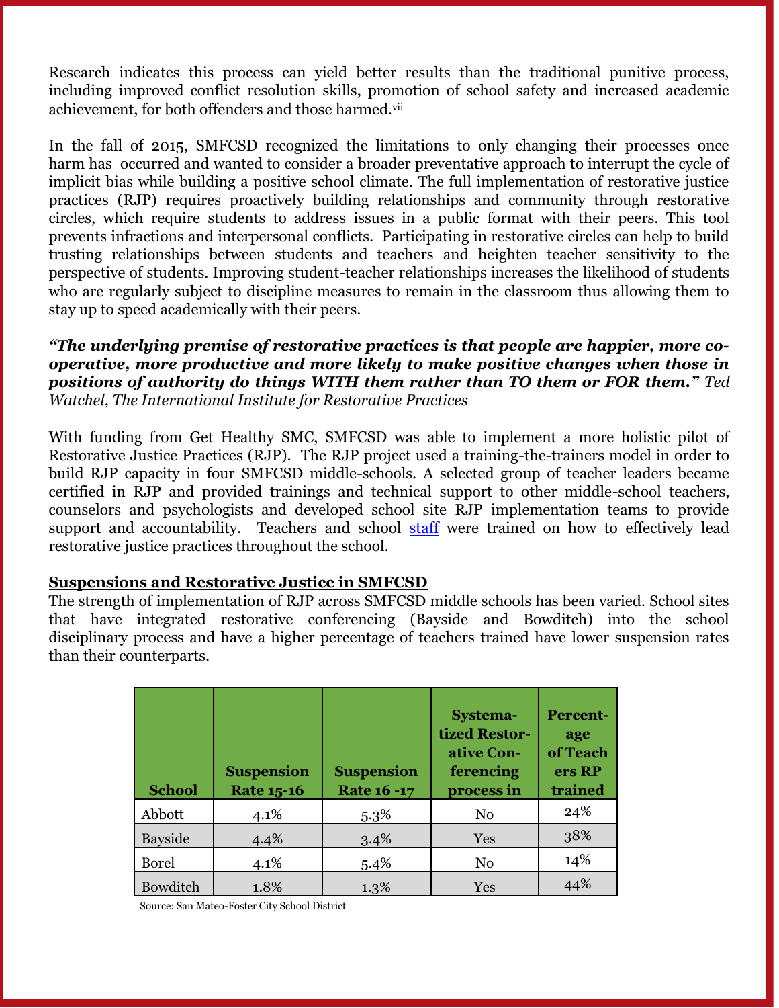Research indicates this process can yield better results than the traditional punitive process, including improved conflict resolution skills, promotion of school safety and increased academic achievement, for both offenders and those harmed.vii

In the fall of 2015, SMFCSD recognized the limitations to only changing their processes once harm has occurred and wanted to consider a broader preventative approach to interrupt the cycle of implicit bias while building a positive school climate. The full implementation of restorative justice practices (RJP) requires proactively building relationships and community through restorative circles, which require students to address issues in a public format with their peers. This tool prevents infractions and interpersonal conflicts. Participating in restorative circles can help to build trusting relationships between students and teachers and heighten teacher sensitivity to the perspective of students. Improving student-teacher relationships increases the likelihood of students who are regularly subject to discipline measures to remain in the classroom thus allowing them to stay up to speed academically with their peers.

*"The underlying premise of restorative practices is that people are happier, more cooperative, more productive and more likely to make positive changes when those in positions of authority do things WITH them rather than TO them or FOR them." Ted Watchel, The International Institute for Restorative Practices*

With funding from Get Healthy SMC, SMFCSD was able to implement a more holistic pilot of Restorative Justice Practices (RJP). The RJP project used a training-the-trainers model in order to build RJP capacity in four SMFCSD middle-schools. A selected group of teacher leaders became certified in RJP and provided trainings and technical support to other middle-school teachers, counselors and psychologists and developed school site RJP implementation teams to provide support and accountability. Teachers and school staff were trained on how to effectively lead restorative justice practices throughout the school.

#### **Suspensions and Restorative Justice in SMFCSD**

The strength of implementation of RJP across SMFCSD middle schools has been varied. School sites that have integrated restorative conferencing (Bayside and Bowditch) into the school disciplinary process and have a higher percentage of teachers trained have lower suspension rates than their counterparts.

| <b>School</b>  | <b>Suspension</b><br><b>Rate 15-16</b> | <b>Suspension</b><br><b>Rate 16 -17</b> | <b>Systema-</b><br>tized Restor-<br>ative Con-<br>ferencing<br>process in | <b>Percent-</b><br>age<br>of Teach<br>ers RP<br>trained |
|----------------|----------------------------------------|-----------------------------------------|---------------------------------------------------------------------------|---------------------------------------------------------|
| Abbott         | 4.1%                                   | $5.3\%$                                 | No                                                                        | 24%                                                     |
| <b>Bayside</b> | 4.4%                                   | 3.4%                                    | Yes                                                                       | 38%                                                     |
| <b>Borel</b>   | 4.1%                                   | 5.4%                                    | N <sub>0</sub>                                                            | 14%                                                     |
| Bowditch       | 1.8%                                   | $1.3\%$                                 | Yes                                                                       | 44%                                                     |

Source: San Mateo-Foster City School District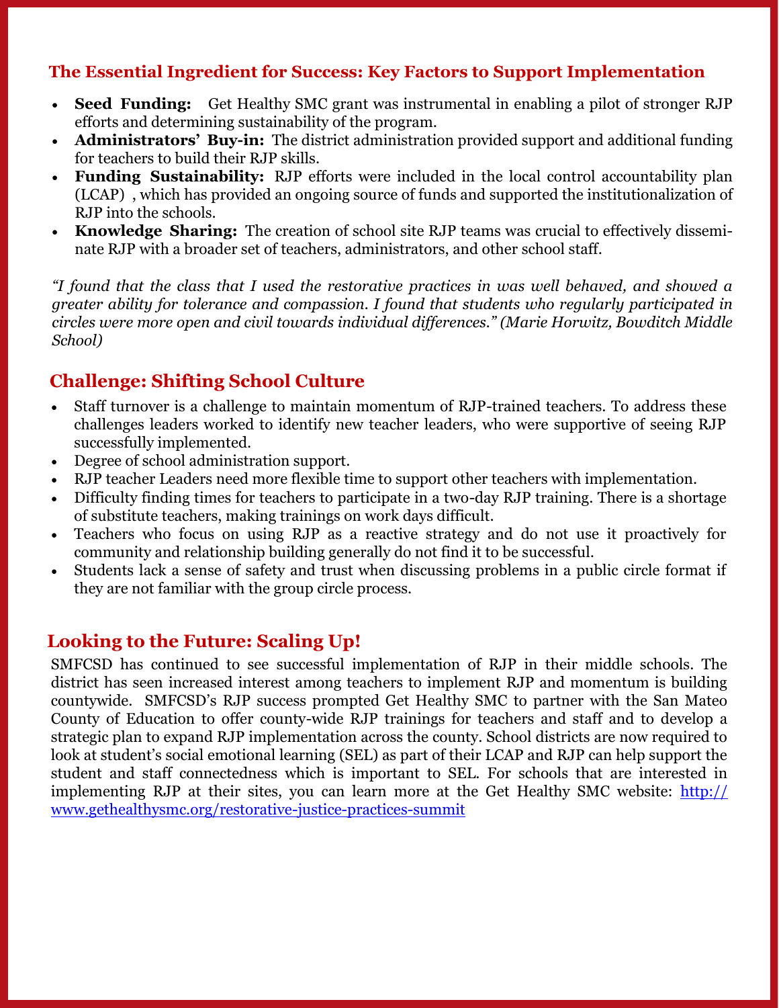#### **The Essential Ingredient for Success: Key Factors to Support Implementation**

- **Seed Funding:** Get Healthy SMC grant was instrumental in enabling a pilot of stronger RJP efforts and determining sustainability of the program.
- **Administrators' Buy-in:** The district administration provided support and additional funding for teachers to build their RJP skills.
- **Funding Sustainability:** RJP efforts were included in the local control accountability plan (LCAP) , which has provided an ongoing source of funds and supported the institutionalization of RJP into the schools.
- **Knowledge Sharing:** The creation of school site RJP teams was crucial to effectively disseminate RJP with a broader set of teachers, administrators, and other school staff.

*"I found that the class that I used the restorative practices in was well behaved, and showed a greater ability for tolerance and compassion. I found that students who regularly participated in circles were more open and civil towards individual differences." (Marie Horwitz, Bowditch Middle School)*

# **Challenge: Shifting School Culture**

- Staff turnover is a challenge to maintain momentum of RJP-trained teachers. To address these challenges leaders worked to identify new teacher leaders, who were supportive of seeing RJP successfully implemented.
- Degree of school administration support.
- RJP teacher Leaders need more flexible time to support other teachers with implementation.
- Difficulty finding times for teachers to participate in a two-day RJP training. There is a shortage of substitute teachers, making trainings on work days difficult.
- Teachers who focus on using RJP as a reactive strategy and do not use it proactively for community and relationship building generally do not find it to be successful.
- Students lack a sense of safety and trust when discussing problems in a public circle format if they are not familiar with the group circle process.

### **Looking to the Future: Scaling Up!**

SMFCSD has continued to see successful implementation of RJP in their middle schools. The district has seen increased interest among teachers to implement RJP and momentum is building countywide. SMFCSD's RJP success prompted Get Healthy SMC to partner with the San Mateo County of Education to offer county-wide RJP trainings for teachers and staff and to develop a strategic plan to expand RJP implementation across the county. School districts are now required to look at student's social emotional learning (SEL) as part of their LCAP and RJP can help support the student and staff connectedness which is important to SEL. For schools that are interested in implementing RJP at their sites, you can learn more at the Get Healthy SMC website: [http://](http://www.gethealthysmc.org/restorative-justice-practices-summit) [www.gethealthysmc.org/restorative-justice-practices-summit](http://www.gethealthysmc.org/restorative-justice-practices-summit)